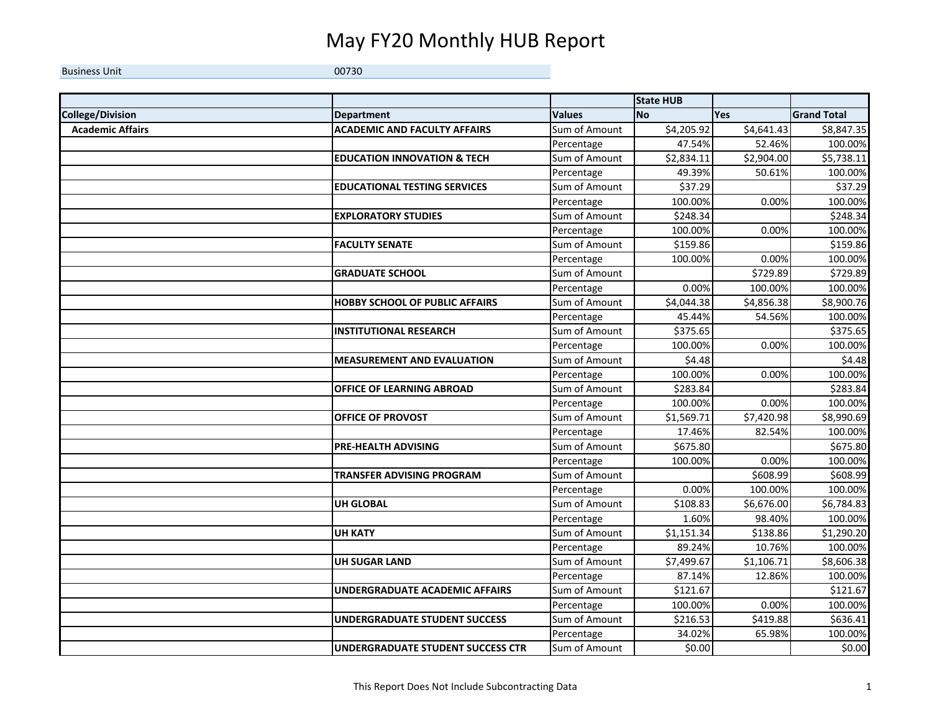## May FY20 Monthly HUB Report

**Business Unit** Unit 00730

|                         |                                          |               | <b>State HUB</b> |            |                    |
|-------------------------|------------------------------------------|---------------|------------------|------------|--------------------|
| College/Division        | <b>Department</b>                        | <b>Values</b> | <b>No</b>        | <b>Yes</b> | <b>Grand Total</b> |
| <b>Academic Affairs</b> | <b>ACADEMIC AND FACULTY AFFAIRS</b>      | Sum of Amount | \$4,205.92       | \$4,641.43 | \$8,847.35         |
|                         |                                          | Percentage    | 47.54%           | 52.46%     | 100.00%            |
|                         | <b>EDUCATION INNOVATION &amp; TECH</b>   | Sum of Amount | \$2,834.11       | \$2,904.00 | \$5,738.11         |
|                         |                                          | Percentage    | 49.39%           | 50.61%     | 100.00%            |
|                         | <b>EDUCATIONAL TESTING SERVICES</b>      | Sum of Amount | \$37.29          |            | \$37.29            |
|                         |                                          | Percentage    | 100.00%          | 0.00%      | 100.00%            |
|                         | <b>EXPLORATORY STUDIES</b>               | Sum of Amount | \$248.34         |            | \$248.34           |
|                         |                                          | Percentage    | 100.00%          | 0.00%      | 100.00%            |
|                         | <b>FACULTY SENATE</b>                    | Sum of Amount | \$159.86         |            | \$159.86           |
|                         |                                          | Percentage    | 100.00%          | 0.00%      | 100.00%            |
|                         | <b>GRADUATE SCHOOL</b>                   | Sum of Amount |                  | \$729.89   | \$729.89           |
|                         |                                          | Percentage    | 0.00%            | 100.00%    | 100.00%            |
|                         | <b>HOBBY SCHOOL OF PUBLIC AFFAIRS</b>    | Sum of Amount | \$4,044.38       | \$4,856.38 | \$8,900.76         |
|                         |                                          | Percentage    | 45.44%           | 54.56%     | 100.00%            |
|                         | <b>INSTITUTIONAL RESEARCH</b>            | Sum of Amount | \$375.65         |            | \$375.65           |
|                         |                                          | Percentage    | 100.00%          | 0.00%      | 100.00%            |
|                         | <b>MEASUREMENT AND EVALUATION</b>        | Sum of Amount | \$4.48           |            | \$4.48             |
|                         |                                          | Percentage    | 100.00%          | 0.00%      | 100.00%            |
|                         | <b>OFFICE OF LEARNING ABROAD</b>         | Sum of Amount | \$283.84         |            | \$283.84           |
|                         |                                          | Percentage    | 100.00%          | 0.00%      | 100.00%            |
|                         | OFFICE OF PROVOST                        | Sum of Amount | \$1,569.71       | \$7,420.98 | \$8,990.69         |
|                         |                                          | Percentage    | 17.46%           | 82.54%     | 100.00%            |
|                         | PRE-HEALTH ADVISING                      | Sum of Amount | \$675.80         |            | \$675.80           |
|                         |                                          | Percentage    | 100.00%          | 0.00%      | 100.00%            |
|                         | <b>TRANSFER ADVISING PROGRAM</b>         | Sum of Amount |                  | \$608.99   | \$608.99           |
|                         |                                          | Percentage    | 0.00%            | 100.00%    | 100.00%            |
|                         | <b>UH GLOBAL</b>                         | Sum of Amount | \$108.83         | \$6,676.00 | \$6,784.83         |
|                         |                                          | Percentage    | 1.60%            | 98.40%     | 100.00%            |
|                         | <b>UH KATY</b>                           | Sum of Amount | \$1,151.34       | \$138.86   | \$1,290.20         |
|                         |                                          | Percentage    | 89.24%           | 10.76%     | 100.00%            |
|                         | <b>UH SUGAR LAND</b>                     | Sum of Amount | \$7,499.67       | \$1,106.71 | \$8,606.38         |
|                         |                                          | Percentage    | 87.14%           | 12.86%     | 100.00%            |
|                         | UNDERGRADUATE ACADEMIC AFFAIRS           | Sum of Amount | \$121.67         |            | \$121.67           |
|                         |                                          | Percentage    | 100.00%          | 0.00%      | 100.00%            |
|                         | <b>UNDERGRADUATE STUDENT SUCCESS</b>     | Sum of Amount | \$216.53         | \$419.88   | \$636.41           |
|                         |                                          | Percentage    | 34.02%           | 65.98%     | 100.00%            |
|                         | <b>UNDERGRADUATE STUDENT SUCCESS CTR</b> | Sum of Amount | \$0.00           |            | \$0.00             |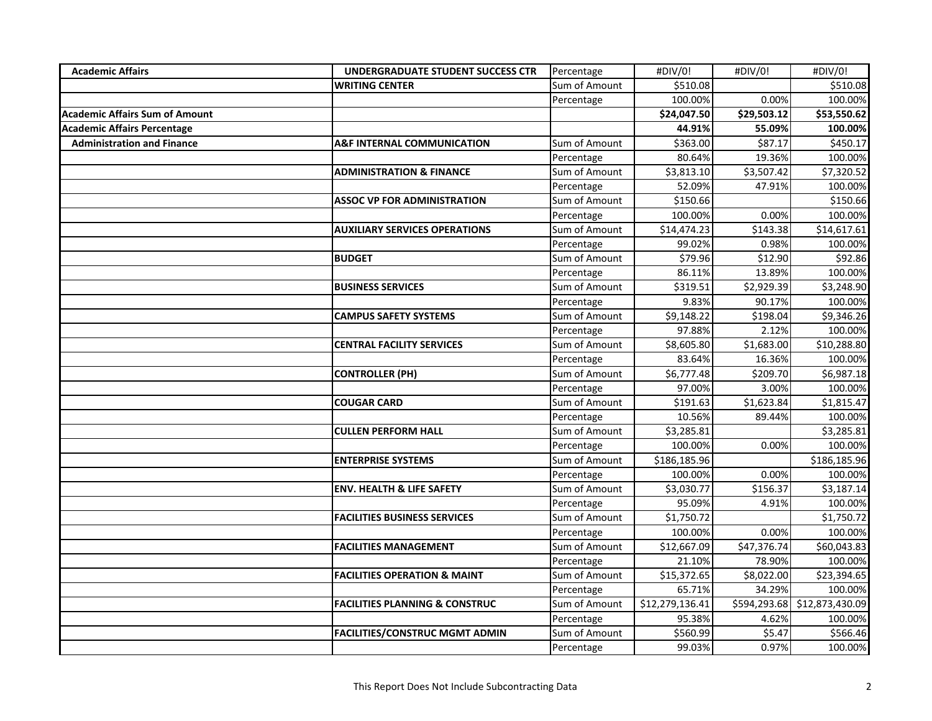| <b>Academic Affairs</b>               | UNDERGRADUATE STUDENT SUCCESS CTR         | Percentage    | #DIV/0!         | #DIV/0!                 | #DIV/0!         |
|---------------------------------------|-------------------------------------------|---------------|-----------------|-------------------------|-----------------|
|                                       | <b>WRITING CENTER</b>                     | Sum of Amount | \$510.08        |                         | \$510.08        |
|                                       |                                           | Percentage    | 100.00%         | 0.00%                   | 100.00%         |
| <b>Academic Affairs Sum of Amount</b> |                                           |               | \$24,047.50     | $\overline{$}29,503.12$ | \$53,550.62     |
| <b>Academic Affairs Percentage</b>    |                                           |               | 44.91%          | 55.09%                  | 100.00%         |
| <b>Administration and Finance</b>     | <b>A&amp;F INTERNAL COMMUNICATION</b>     | Sum of Amount | \$363.00        | \$87.17                 | \$450.17        |
|                                       |                                           | Percentage    | 80.64%          | 19.36%                  | 100.00%         |
|                                       | <b>ADMINISTRATION &amp; FINANCE</b>       | Sum of Amount | \$3,813.10      | \$3,507.42              | \$7,320.52      |
|                                       |                                           | Percentage    | 52.09%          | 47.91%                  | 100.00%         |
|                                       | <b>ASSOC VP FOR ADMINISTRATION</b>        | Sum of Amount | \$150.66        |                         | \$150.66        |
|                                       |                                           | Percentage    | 100.00%         | 0.00%                   | 100.00%         |
|                                       | <b>AUXILIARY SERVICES OPERATIONS</b>      | Sum of Amount | \$14,474.23     | \$143.38                | \$14,617.61     |
|                                       |                                           | Percentage    | 99.02%          | 0.98%                   | 100.00%         |
|                                       | <b>BUDGET</b>                             | Sum of Amount | \$79.96         | \$12.90                 | \$92.86         |
|                                       |                                           | Percentage    | 86.11%          | 13.89%                  | 100.00%         |
|                                       | <b>BUSINESS SERVICES</b>                  | Sum of Amount | \$319.51        | \$2,929.39              | \$3,248.90      |
|                                       |                                           | Percentage    | 9.83%           | 90.17%                  | 100.00%         |
|                                       | <b>CAMPUS SAFETY SYSTEMS</b>              | Sum of Amount | \$9,148.22      | \$198.04                | \$9,346.26      |
|                                       |                                           | Percentage    | 97.88%          | 2.12%                   | 100.00%         |
|                                       | <b>CENTRAL FACILITY SERVICES</b>          | Sum of Amount | \$8,605.80      | \$1,683.00              | \$10,288.80     |
|                                       |                                           | Percentage    | 83.64%          | 16.36%                  | 100.00%         |
|                                       | <b>CONTROLLER (PH)</b>                    | Sum of Amount | \$6,777.48      | \$209.70                | \$6,987.18      |
|                                       |                                           | Percentage    | 97.00%          | 3.00%                   | 100.00%         |
|                                       | <b>COUGAR CARD</b>                        | Sum of Amount | \$191.63        | \$1,623.84              | \$1,815.47      |
|                                       |                                           | Percentage    | 10.56%          | 89.44%                  | 100.00%         |
|                                       | <b>CULLEN PERFORM HALL</b>                | Sum of Amount | \$3,285.81      |                         | \$3,285.81      |
|                                       |                                           | Percentage    | 100.00%         | 0.00%                   | 100.00%         |
|                                       | <b>ENTERPRISE SYSTEMS</b>                 | Sum of Amount | \$186,185.96    |                         | \$186,185.96    |
|                                       |                                           | Percentage    | 100.00%         | 0.00%                   | 100.00%         |
|                                       | <b>ENV. HEALTH &amp; LIFE SAFETY</b>      | Sum of Amount | \$3,030.77      | \$156.37                | \$3,187.14      |
|                                       |                                           | Percentage    | 95.09%          | 4.91%                   | 100.00%         |
|                                       | <b>FACILITIES BUSINESS SERVICES</b>       | Sum of Amount | \$1,750.72      |                         | \$1,750.72      |
|                                       |                                           | Percentage    | 100.00%         | 0.00%                   | 100.00%         |
|                                       | <b>FACILITIES MANAGEMENT</b>              | Sum of Amount | \$12,667.09     | \$47,376.74             | \$60,043.83     |
|                                       |                                           | Percentage    | 21.10%          | 78.90%                  | 100.00%         |
|                                       | <b>FACILITIES OPERATION &amp; MAINT</b>   | Sum of Amount | \$15,372.65     | \$8,022.00              | \$23,394.65     |
|                                       |                                           | Percentage    | 65.71%          | 34.29%                  | 100.00%         |
|                                       | <b>FACILITIES PLANNING &amp; CONSTRUC</b> | Sum of Amount | \$12,279,136.41 | \$594,293.68            | \$12,873,430.09 |
|                                       |                                           | Percentage    | 95.38%          | 4.62%                   | 100.00%         |
|                                       | <b>FACILITIES/CONSTRUC MGMT ADMIN</b>     | Sum of Amount | \$560.99        | \$5.47                  | \$566.46        |
|                                       |                                           | Percentage    | 99.03%          | 0.97%                   | 100.00%         |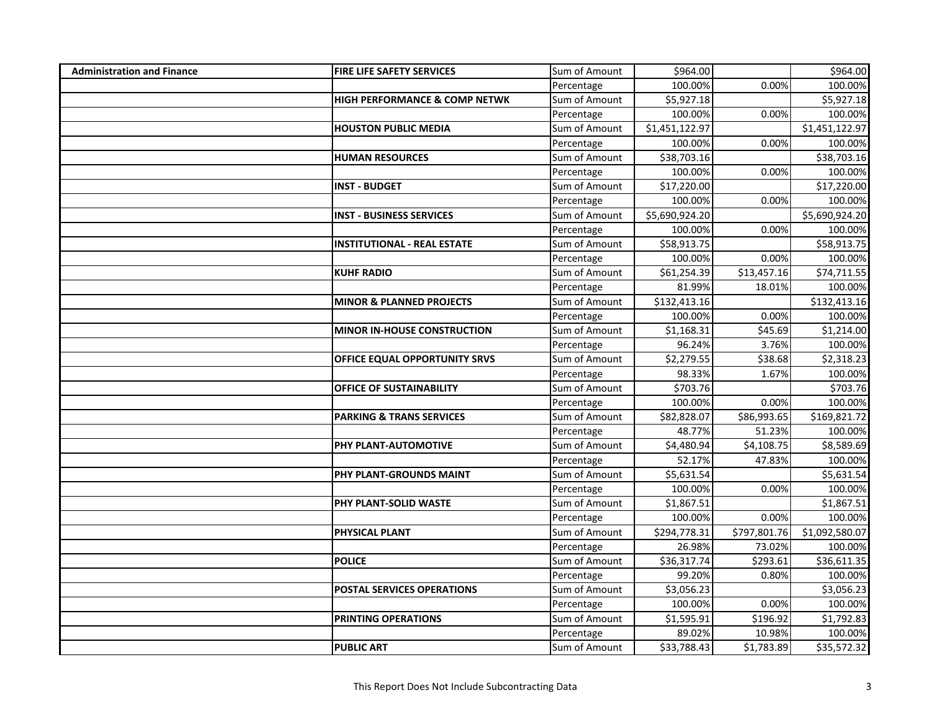| <b>Administration and Finance</b> | <b>FIRE LIFE SAFETY SERVICES</b>         | Sum of Amount | \$964.00       |              | \$964.00       |
|-----------------------------------|------------------------------------------|---------------|----------------|--------------|----------------|
|                                   |                                          | Percentage    | 100.00%        | 0.00%        | 100.00%        |
|                                   | <b>HIGH PERFORMANCE &amp; COMP NETWK</b> | Sum of Amount | \$5,927.18     |              | \$5,927.18     |
|                                   |                                          | Percentage    | 100.00%        | 0.00%        | 100.00%        |
|                                   | <b>HOUSTON PUBLIC MEDIA</b>              | Sum of Amount | \$1,451,122.97 |              | \$1,451,122.97 |
|                                   |                                          | Percentage    | 100.00%        | 0.00%        | 100.00%        |
|                                   | <b>HUMAN RESOURCES</b>                   | Sum of Amount | \$38,703.16    |              | \$38,703.16    |
|                                   |                                          | Percentage    | 100.00%        | 0.00%        | 100.00%        |
|                                   | <b>INST - BUDGET</b>                     | Sum of Amount | \$17,220.00    |              | \$17,220.00    |
|                                   |                                          | Percentage    | 100.00%        | 0.00%        | 100.00%        |
|                                   | <b>INST - BUSINESS SERVICES</b>          | Sum of Amount | \$5,690,924.20 |              | \$5,690,924.20 |
|                                   |                                          | Percentage    | 100.00%        | 0.00%        | 100.00%        |
|                                   | <b>INSTITUTIONAL - REAL ESTATE</b>       | Sum of Amount | \$58,913.75    |              | \$58,913.75    |
|                                   |                                          | Percentage    | 100.00%        | 0.00%        | 100.00%        |
|                                   | <b>KUHF RADIO</b>                        | Sum of Amount | \$61,254.39    | \$13,457.16  | \$74,711.55    |
|                                   |                                          | Percentage    | 81.99%         | 18.01%       | 100.00%        |
|                                   | <b>MINOR &amp; PLANNED PROJECTS</b>      | Sum of Amount | \$132,413.16   |              | \$132,413.16   |
|                                   |                                          | Percentage    | 100.00%        | 0.00%        | 100.00%        |
|                                   | <b>MINOR IN-HOUSE CONSTRUCTION</b>       | Sum of Amount | \$1,168.31     | \$45.69      | \$1,214.00     |
|                                   |                                          | Percentage    | 96.24%         | 3.76%        | 100.00%        |
|                                   | OFFICE EQUAL OPPORTUNITY SRVS            | Sum of Amount | \$2,279.55     | \$38.68      | \$2,318.23     |
|                                   |                                          | Percentage    | 98.33%         | 1.67%        | 100.00%        |
|                                   | <b>OFFICE OF SUSTAINABILITY</b>          | Sum of Amount | \$703.76       |              | \$703.76       |
|                                   |                                          | Percentage    | 100.00%        | 0.00%        | 100.00%        |
|                                   | <b>PARKING &amp; TRANS SERVICES</b>      | Sum of Amount | \$82,828.07    | \$86,993.65  | \$169,821.72   |
|                                   |                                          | Percentage    | 48.77%         | 51.23%       | 100.00%        |
|                                   | PHY PLANT-AUTOMOTIVE                     | Sum of Amount | \$4,480.94     | \$4,108.75   | \$8,589.69     |
|                                   |                                          | Percentage    | 52.17%         | 47.83%       | 100.00%        |
|                                   | PHY PLANT-GROUNDS MAINT                  | Sum of Amount | \$5,631.54     |              | \$5,631.54     |
|                                   |                                          | Percentage    | 100.00%        | 0.00%        | 100.00%        |
|                                   | PHY PLANT-SOLID WASTE                    | Sum of Amount | \$1,867.51     |              | \$1,867.51     |
|                                   |                                          | Percentage    | 100.00%        | 0.00%        | 100.00%        |
|                                   | PHYSICAL PLANT                           | Sum of Amount | \$294,778.31   | \$797,801.76 | \$1,092,580.07 |
|                                   |                                          | Percentage    | 26.98%         | 73.02%       | 100.00%        |
|                                   | <b>POLICE</b>                            | Sum of Amount | \$36,317.74    | \$293.61     | \$36,611.35    |
|                                   |                                          | Percentage    | 99.20%         | 0.80%        | 100.00%        |
|                                   | POSTAL SERVICES OPERATIONS               | Sum of Amount | \$3,056.23     |              | \$3,056.23     |
|                                   |                                          | Percentage    | 100.00%        | 0.00%        | 100.00%        |
|                                   | PRINTING OPERATIONS                      | Sum of Amount | \$1,595.91     | \$196.92     | \$1,792.83     |
|                                   |                                          | Percentage    | 89.02%         | 10.98%       | 100.00%        |
|                                   | <b>PUBLIC ART</b>                        | Sum of Amount | \$33,788.43    | \$1,783.89   | \$35,572.32    |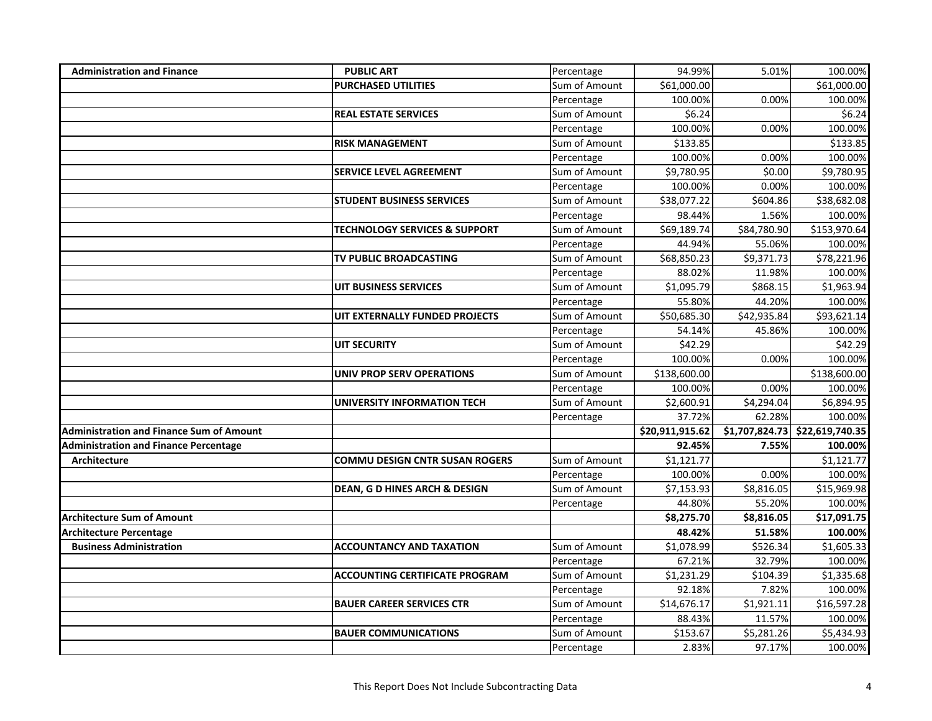| <b>Administration and Finance</b>               | <b>PUBLIC ART</b>                        | Percentage    | 94.99%          | 5.01%       | 100.00%                          |
|-------------------------------------------------|------------------------------------------|---------------|-----------------|-------------|----------------------------------|
|                                                 | <b>PURCHASED UTILITIES</b>               | Sum of Amount | \$61,000.00     |             | \$61,000.00                      |
|                                                 |                                          | Percentage    | 100.00%         | 0.00%       | 100.00%                          |
|                                                 | <b>REAL ESTATE SERVICES</b>              | Sum of Amount | \$6.24          |             | \$6.24                           |
|                                                 |                                          | Percentage    | 100.00%         | 0.00%       | 100.00%                          |
|                                                 | <b>RISK MANAGEMENT</b>                   | Sum of Amount | \$133.85        |             | \$133.85                         |
|                                                 |                                          | Percentage    | 100.00%         | 0.00%       | 100.00%                          |
|                                                 | <b>SERVICE LEVEL AGREEMENT</b>           | Sum of Amount | \$9,780.95      | \$0.00      | $\overline{59}$ , 780.95         |
|                                                 |                                          | Percentage    | 100.00%         | 0.00%       | 100.00%                          |
|                                                 | <b>STUDENT BUSINESS SERVICES</b>         | Sum of Amount | \$38,077.22     | \$604.86    | \$38,682.08                      |
|                                                 |                                          | Percentage    | 98.44%          | 1.56%       | 100.00%                          |
|                                                 | <b>TECHNOLOGY SERVICES &amp; SUPPORT</b> | Sum of Amount | \$69,189.74     | \$84,780.90 | \$153,970.64                     |
|                                                 |                                          | Percentage    | 44.94%          | 55.06%      | 100.00%                          |
|                                                 | TV PUBLIC BROADCASTING                   | Sum of Amount | 568,850.23      | \$9,371.73  | \$78,221.96                      |
|                                                 |                                          | Percentage    | 88.02%          | 11.98%      | 100.00%                          |
|                                                 | <b>UIT BUSINESS SERVICES</b>             | Sum of Amount | \$1,095.79      | \$868.15    | \$1,963.94                       |
|                                                 |                                          | Percentage    | 55.80%          | 44.20%      | 100.00%                          |
|                                                 | UIT EXTERNALLY FUNDED PROJECTS           | Sum of Amount | \$50,685.30     | \$42,935.84 | \$93,621.14                      |
|                                                 |                                          | Percentage    | 54.14%          | 45.86%      | 100.00%                          |
|                                                 | <b>UIT SECURITY</b>                      | Sum of Amount | \$42.29         |             | \$42.29                          |
|                                                 |                                          | Percentage    | 100.00%         | 0.00%       | 100.00%                          |
|                                                 | <b>UNIV PROP SERV OPERATIONS</b>         | Sum of Amount | \$138,600.00    |             | \$138,600.00                     |
|                                                 |                                          | Percentage    | 100.00%         | 0.00%       | 100.00%                          |
|                                                 | <b>UNIVERSITY INFORMATION TECH</b>       | Sum of Amount | \$2,600.91      | \$4,294.04  | \$6,894.95                       |
|                                                 |                                          | Percentage    | 37.72%          | 62.28%      | 100.00%                          |
| <b>Administration and Finance Sum of Amount</b> |                                          |               | \$20,911,915.62 |             | $$1,707,824.73$ $$22,619,740.35$ |
| <b>Administration and Finance Percentage</b>    |                                          |               | 92.45%          | 7.55%       | 100.00%                          |
| Architecture                                    | <b>COMMU DESIGN CNTR SUSAN ROGERS</b>    | Sum of Amount | \$1,121.77      |             | \$1,121.77                       |
|                                                 |                                          | Percentage    | 100.00%         | 0.00%       | 100.00%                          |
|                                                 | DEAN, G D HINES ARCH & DESIGN            | Sum of Amount | \$7,153.93      | \$8,816.05  | \$15,969.98                      |
|                                                 |                                          | Percentage    | 44.80%          | 55.20%      | 100.00%                          |
| <b>Architecture Sum of Amount</b>               |                                          |               | \$8,275.70      | \$8,816.05  | \$17,091.75                      |
| <b>Architecture Percentage</b>                  |                                          |               | 48.42%          | 51.58%      | 100.00%                          |
| <b>Business Administration</b>                  | <b>ACCOUNTANCY AND TAXATION</b>          | Sum of Amount | \$1,078.99      | \$526.34    | \$1,605.33                       |
|                                                 |                                          | Percentage    | 67.21%          | 32.79%      | 100.00%                          |
|                                                 | <b>ACCOUNTING CERTIFICATE PROGRAM</b>    | Sum of Amount | \$1,231.29      | \$104.39    | \$1,335.68                       |
|                                                 |                                          | Percentage    | 92.18%          | 7.82%       | 100.00%                          |
|                                                 | <b>BAUER CAREER SERVICES CTR</b>         | Sum of Amount | \$14,676.17     | \$1,921.11  | \$16,597.28                      |
|                                                 |                                          | Percentage    | 88.43%          | 11.57%      | 100.00%                          |
|                                                 | <b>BAUER COMMUNICATIONS</b>              | Sum of Amount | \$153.67        | \$5,281.26  | \$5,434.93                       |
|                                                 |                                          | Percentage    | 2.83%           | 97.17%      | 100.00%                          |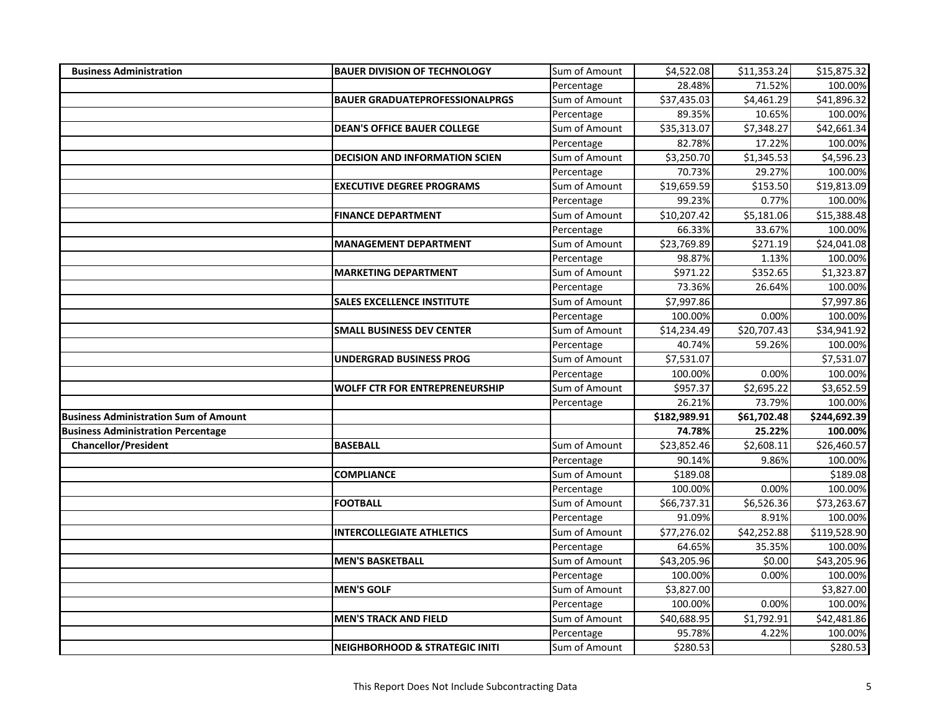| <b>Business Administration</b>               | <b>BAUER DIVISION OF TECHNOLOGY</b>   | Sum of Amount               | \$4,522.08         | \$11,353.24 | \$15,875.32         |
|----------------------------------------------|---------------------------------------|-----------------------------|--------------------|-------------|---------------------|
|                                              |                                       | Percentage                  | 28.48%             | 71.52%      | 100.00%             |
|                                              | <b>BAUER GRADUATEPROFESSIONALPRGS</b> | Sum of Amount               | \$37,435.03        | \$4,461.29  | \$41,896.32         |
|                                              |                                       | Percentage                  | 89.35%             | 10.65%      | 100.00%             |
|                                              | <b>DEAN'S OFFICE BAUER COLLEGE</b>    | Sum of Amount               | \$35,313.07        | \$7,348.27  | \$42,661.34         |
|                                              |                                       | Percentage                  | 82.78%             | 17.22%      | 100.00%             |
|                                              | <b>DECISION AND INFORMATION SCIEN</b> | Sum of Amount               | \$3,250.70         | \$1,345.53  | \$4,596.23          |
|                                              |                                       | Percentage                  | 70.73%             | 29.27%      | 100.00%             |
|                                              | <b>EXECUTIVE DEGREE PROGRAMS</b>      | Sum of Amount               | \$19,659.59        | \$153.50    | \$19,813.09         |
|                                              |                                       | Percentage                  | 99.23%             | 0.77%       | 100.00%             |
|                                              | <b>FINANCE DEPARTMENT</b>             | Sum of Amount               | \$10,207.42        | \$5,181.06  | \$15,388.48         |
|                                              |                                       | Percentage                  | 66.33%             | 33.67%      | 100.00%             |
|                                              | <b>MANAGEMENT DEPARTMENT</b>          | Sum of Amount               | \$23,769.89        | \$271.19    | \$24,041.08         |
|                                              |                                       | Percentage                  | 98.87%             | 1.13%       | 100.00%             |
|                                              | <b>MARKETING DEPARTMENT</b>           | Sum of Amount               | \$971.22           | \$352.65    | \$1,323.87          |
|                                              |                                       | Percentage                  | 73.36%             | 26.64%      | 100.00%             |
|                                              | <b>SALES EXCELLENCE INSTITUTE</b>     | Sum of Amount               | \$7,997.86         |             | \$7,997.86          |
|                                              |                                       | Percentage                  | 100.00%            | 0.00%       | 100.00%             |
|                                              | <b>SMALL BUSINESS DEV CENTER</b>      | Sum of Amount               | \$14,234.49        | \$20,707.43 | \$34,941.92         |
|                                              |                                       | Percentage                  | 40.74%             | 59.26%      | 100.00%             |
|                                              | <b>UNDERGRAD BUSINESS PROG</b>        | Sum of Amount               | \$7,531.07         |             | \$7,531.07          |
|                                              |                                       | Percentage                  | 100.00%            | 0.00%       | 100.00%             |
|                                              | <b>WOLFF CTR FOR ENTREPRENEURSHIP</b> | Sum of Amount               | \$957.37           | \$2,695.22  | \$3,652.59          |
|                                              |                                       | Percentage                  | 26.21%             | 73.79%      | 100.00%             |
| <b>Business Administration Sum of Amount</b> |                                       |                             | \$182,989.91       | \$61,702.48 | \$244,692.39        |
| <b>Business Administration Percentage</b>    |                                       |                             | 74.78%             | 25.22%      | 100.00%             |
| <b>Chancellor/President</b>                  | <b>BASEBALL</b>                       | Sum of Amount               | \$23,852.46        | \$2,608.11  | \$26,460.57         |
|                                              |                                       | Percentage                  | 90.14%             | 9.86%       | 100.00%             |
|                                              | <b>COMPLIANCE</b>                     | Sum of Amount               | \$189.08           |             | \$189.08            |
|                                              |                                       | Percentage                  | 100.00%            | 0.00%       | 100.00%             |
|                                              | <b>FOOTBALL</b>                       | Sum of Amount               | \$66,737.31        | \$6,526.36  | \$73,263.67         |
|                                              |                                       | Percentage                  | 91.09%             | 8.91%       | 100.00%             |
|                                              | <b>INTERCOLLEGIATE ATHLETICS</b>      | Sum of Amount               | \$77,276.02        | \$42,252.88 | \$119,528.90        |
|                                              |                                       | Percentage                  | 64.65%             | 35.35%      | 100.00%             |
|                                              | <b>MEN'S BASKETBALL</b>               | Sum of Amount               | \$43,205.96        | \$0.00      | \$43,205.96         |
|                                              |                                       | Percentage                  | 100.00%            | 0.00%       | 100.00%             |
|                                              | <b>MEN'S GOLF</b>                     | Sum of Amount               | \$3,827.00         |             | \$3,827.00          |
|                                              |                                       | Percentage                  | 100.00%            | 0.00%       | 100.00%             |
|                                              | <b>MEN'S TRACK AND FIELD</b>          | Sum of Amount               | \$40,688.95        | \$1,792.91  | \$42,481.86         |
|                                              |                                       |                             |                    |             |                     |
|                                              |                                       | Percentage<br>Sum of Amount | 95.78%<br>\$280.53 | 4.22%       | 100.00%<br>\$280.53 |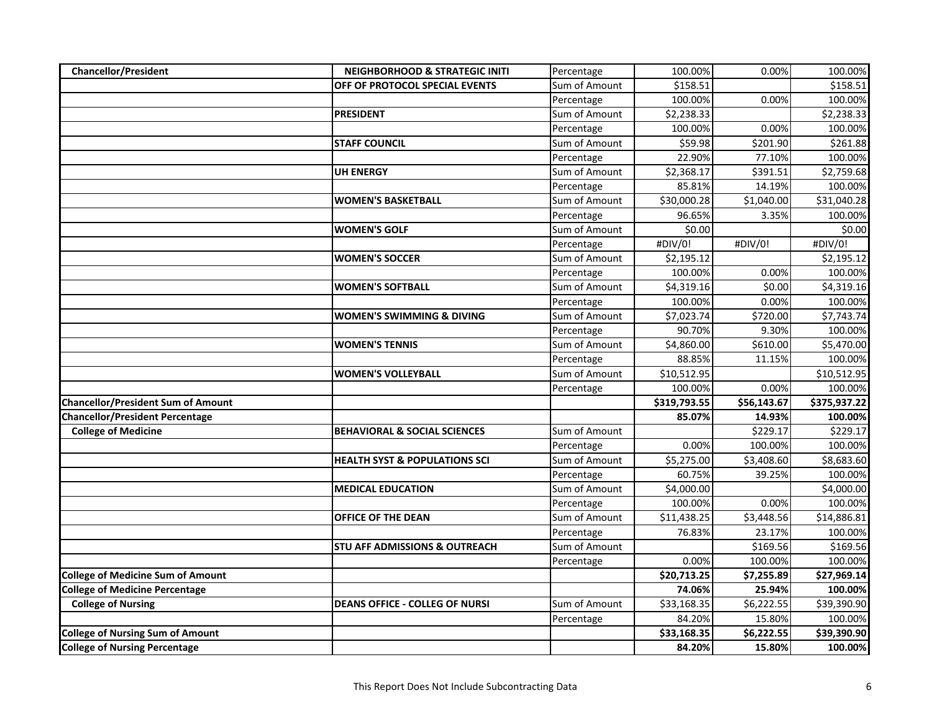| <b>Chancellor/President</b>               | <b>NEIGHBORHOOD &amp; STRATEGIC INITI</b> | Percentage    | 100.00%      | 0.00%       | 100.00%      |
|-------------------------------------------|-------------------------------------------|---------------|--------------|-------------|--------------|
|                                           | OFF OF PROTOCOL SPECIAL EVENTS            | Sum of Amount | \$158.51     |             | \$158.51     |
|                                           |                                           | Percentage    | 100.00%      | 0.00%       | 100.00%      |
|                                           | <b>PRESIDENT</b>                          | Sum of Amount | \$2,238.33   |             | \$2,238.33   |
|                                           |                                           | Percentage    | 100.00%      | 0.00%       | 100.00%      |
|                                           | <b>STAFF COUNCIL</b>                      | Sum of Amount | \$59.98      | \$201.90    | \$261.88     |
|                                           |                                           | Percentage    | 22.90%       | 77.10%      | 100.00%      |
|                                           | <b>UH ENERGY</b>                          | Sum of Amount | \$2,368.17   | \$391.51    | \$2,759.68   |
|                                           |                                           | Percentage    | 85.81%       | 14.19%      | 100.00%      |
|                                           | <b>WOMEN'S BASKETBALL</b>                 | Sum of Amount | \$30,000.28  | \$1,040.00  | \$31,040.28  |
|                                           |                                           | Percentage    | 96.65%       | 3.35%       | 100.00%      |
|                                           | <b>WOMEN'S GOLF</b>                       | Sum of Amount | \$0.00       |             | \$0.00       |
|                                           |                                           | Percentage    | #DIV/0!      | #DIV/0!     | #DIV/0!      |
|                                           | <b>WOMEN'S SOCCER</b>                     | Sum of Amount | \$2,195.12   |             | \$2,195.12   |
|                                           |                                           | Percentage    | 100.00%      | 0.00%       | 100.00%      |
|                                           | <b>WOMEN'S SOFTBALL</b>                   | Sum of Amount | \$4,319.16   | \$0.00      | \$4,319.16   |
|                                           |                                           | Percentage    | 100.00%      | 0.00%       | 100.00%      |
|                                           | <b>WOMEN'S SWIMMING &amp; DIVING</b>      | Sum of Amount | \$7,023.74   | \$720.00    | \$7,743.74   |
|                                           |                                           | Percentage    | 90.70%       | 9.30%       | 100.00%      |
|                                           | <b>WOMEN'S TENNIS</b>                     | Sum of Amount | \$4,860.00   | \$610.00    | \$5,470.00   |
|                                           |                                           | Percentage    | 88.85%       | 11.15%      | 100.00%      |
|                                           | <b>WOMEN'S VOLLEYBALL</b>                 | Sum of Amount | \$10,512.95  |             | \$10,512.95  |
|                                           |                                           | Percentage    | 100.00%      | 0.00%       | 100.00%      |
| <b>Chancellor/President Sum of Amount</b> |                                           |               | \$319,793.55 | \$56,143.67 | \$375,937.22 |
| <b>Chancellor/President Percentage</b>    |                                           |               | 85.07%       | 14.93%      | 100.00%      |
| <b>College of Medicine</b>                | <b>BEHAVIORAL &amp; SOCIAL SCIENCES</b>   | Sum of Amount |              | \$229.17    | \$229.17     |
|                                           |                                           | Percentage    | 0.00%        | 100.00%     | 100.00%      |
|                                           | <b>HEALTH SYST &amp; POPULATIONS SCI</b>  | Sum of Amount | \$5,275.00   | \$3,408.60  | \$8,683.60   |
|                                           |                                           | Percentage    | 60.75%       | 39.25%      | 100.00%      |
|                                           | <b>MEDICAL EDUCATION</b>                  | Sum of Amount | \$4,000.00   |             | \$4,000.00   |
|                                           |                                           | Percentage    | 100.00%      | 0.00%       | 100.00%      |
|                                           | OFFICE OF THE DEAN                        | Sum of Amount | \$11,438.25  | \$3,448.56  | \$14,886.81  |
|                                           |                                           | Percentage    | 76.83%       | 23.17%      | 100.00%      |
|                                           | <b>STU AFF ADMISSIONS &amp; OUTREACH</b>  | Sum of Amount |              | \$169.56    | \$169.56     |
|                                           |                                           | Percentage    | 0.00%        | 100.00%     | 100.00%      |
| <b>College of Medicine Sum of Amount</b>  |                                           |               | \$20,713.25  | \$7,255.89  | \$27,969.14  |
| <b>College of Medicine Percentage</b>     |                                           |               | 74.06%       | 25.94%      | 100.00%      |
| <b>College of Nursing</b>                 | <b>DEANS OFFICE - COLLEG OF NURSI</b>     | Sum of Amount | \$33,168.35  | \$6,222.55  | \$39,390.90  |
|                                           |                                           | Percentage    | 84.20%       | 15.80%      | 100.00%      |
| <b>College of Nursing Sum of Amount</b>   |                                           |               | \$33,168.35  | \$6,222.55  | \$39,390.90  |
| <b>College of Nursing Percentage</b>      |                                           |               | 84.20%       | 15.80%      | 100.00%      |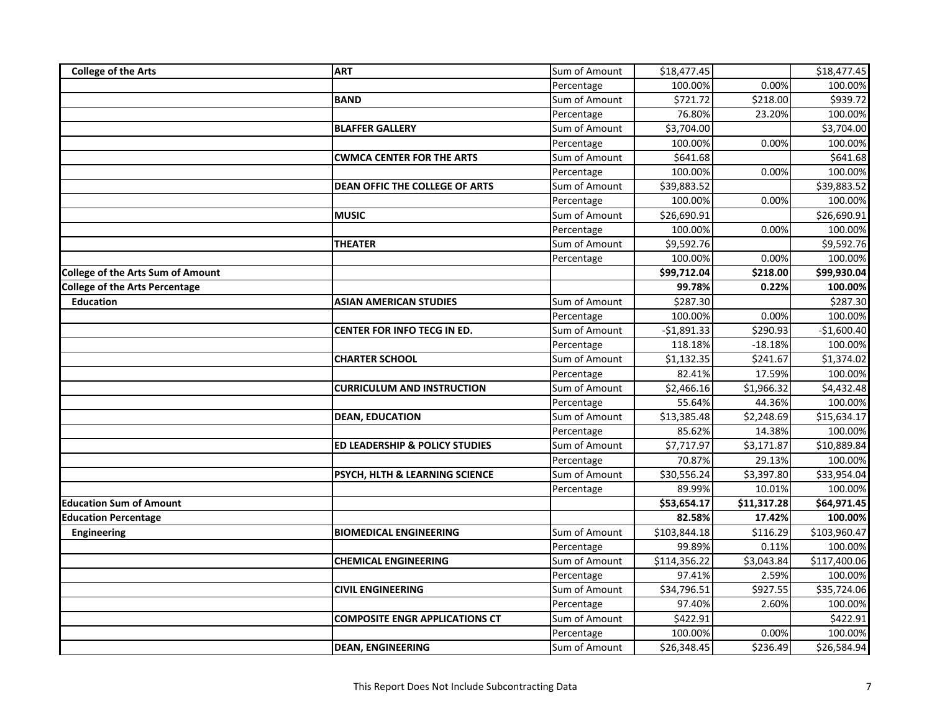| <b>College of the Arts</b>               | <b>ART</b>                            | Sum of Amount | \$18,477.45  |             | \$18,477.45  |
|------------------------------------------|---------------------------------------|---------------|--------------|-------------|--------------|
|                                          |                                       | Percentage    | 100.00%      | 0.00%       | 100.00%      |
|                                          | <b>BAND</b>                           | Sum of Amount | \$721.72     | \$218.00    | \$939.72     |
|                                          |                                       | Percentage    | 76.80%       | 23.20%      | 100.00%      |
|                                          | <b>BLAFFER GALLERY</b>                | Sum of Amount | \$3,704.00   |             | \$3,704.00   |
|                                          |                                       | Percentage    | 100.00%      | 0.00%       | 100.00%      |
|                                          | <b>CWMCA CENTER FOR THE ARTS</b>      | Sum of Amount | \$641.68     |             | \$641.68     |
|                                          |                                       | Percentage    | 100.00%      | 0.00%       | 100.00%      |
|                                          | <b>DEAN OFFIC THE COLLEGE OF ARTS</b> | Sum of Amount | \$39,883.52  |             | \$39,883.52  |
|                                          |                                       | Percentage    | 100.00%      | 0.00%       | 100.00%      |
|                                          | <b>MUSIC</b>                          | Sum of Amount | \$26,690.91  |             | \$26,690.91  |
|                                          |                                       | Percentage    | 100.00%      | 0.00%       | 100.00%      |
|                                          | <b>THEATER</b>                        | Sum of Amount | \$9,592.76   |             | \$9,592.76   |
|                                          |                                       | Percentage    | 100.00%      | 0.00%       | 100.00%      |
| <b>College of the Arts Sum of Amount</b> |                                       |               | \$99,712.04  | \$218.00    | \$99,930.04  |
| <b>College of the Arts Percentage</b>    |                                       |               | 99.78%       | 0.22%       | 100.00%      |
| <b>Education</b>                         | <b>ASIAN AMERICAN STUDIES</b>         | Sum of Amount | \$287.30     |             | \$287.30     |
|                                          |                                       | Percentage    | 100.00%      | 0.00%       | 100.00%      |
|                                          | <b>CENTER FOR INFO TECG IN ED.</b>    | Sum of Amount | $-$1,891.33$ | \$290.93    | $-$1,600.40$ |
|                                          |                                       | Percentage    | 118.18%      | $-18.18%$   | 100.00%      |
|                                          | <b>CHARTER SCHOOL</b>                 | Sum of Amount | \$1,132.35   | \$241.67    | \$1,374.02   |
|                                          |                                       | Percentage    | 82.41%       | 17.59%      | 100.00%      |
|                                          | <b>CURRICULUM AND INSTRUCTION</b>     | Sum of Amount | \$2,466.16   | \$1,966.32  | \$4,432.48   |
|                                          |                                       | Percentage    | 55.64%       | 44.36%      | 100.00%      |
|                                          | <b>DEAN, EDUCATION</b>                | Sum of Amount | \$13,385.48  | \$2,248.69  | \$15,634.17  |
|                                          |                                       | Percentage    | 85.62%       | 14.38%      | 100.00%      |
|                                          | ED LEADERSHIP & POLICY STUDIES        | Sum of Amount | \$7,717.97   | \$3,171.87  | \$10,889.84  |
|                                          |                                       | Percentage    | 70.87%       | 29.13%      | 100.00%      |
|                                          | PSYCH, HLTH & LEARNING SCIENCE        | Sum of Amount | \$30,556.24  | \$3,397.80  | \$33,954.04  |
|                                          |                                       | Percentage    | 89.99%       | 10.01%      | 100.00%      |
| <b>Education Sum of Amount</b>           |                                       |               | \$53,654.17  | \$11,317.28 | \$64,971.45  |
| <b>Education Percentage</b>              |                                       |               | 82.58%       | 17.42%      | 100.00%      |
| Engineering                              | <b>BIOMEDICAL ENGINEERING</b>         | Sum of Amount | \$103,844.18 | \$116.29    | \$103,960.47 |
|                                          |                                       | Percentage    | 99.89%       | 0.11%       | 100.00%      |
|                                          | <b>CHEMICAL ENGINEERING</b>           | Sum of Amount | \$114,356.22 | \$3,043.84  | \$117,400.06 |
|                                          |                                       | Percentage    | 97.41%       | 2.59%       | 100.00%      |
|                                          | <b>CIVIL ENGINEERING</b>              | Sum of Amount | \$34,796.51  | \$927.55    | \$35,724.06  |
|                                          |                                       | Percentage    | 97.40%       | 2.60%       | 100.00%      |
|                                          | <b>COMPOSITE ENGR APPLICATIONS CT</b> | Sum of Amount | \$422.91     |             | \$422.91     |
|                                          |                                       | Percentage    | 100.00%      | 0.00%       | 100.00%      |
|                                          | <b>DEAN, ENGINEERING</b>              | Sum of Amount | \$26,348.45  | \$236.49    | \$26,584.94  |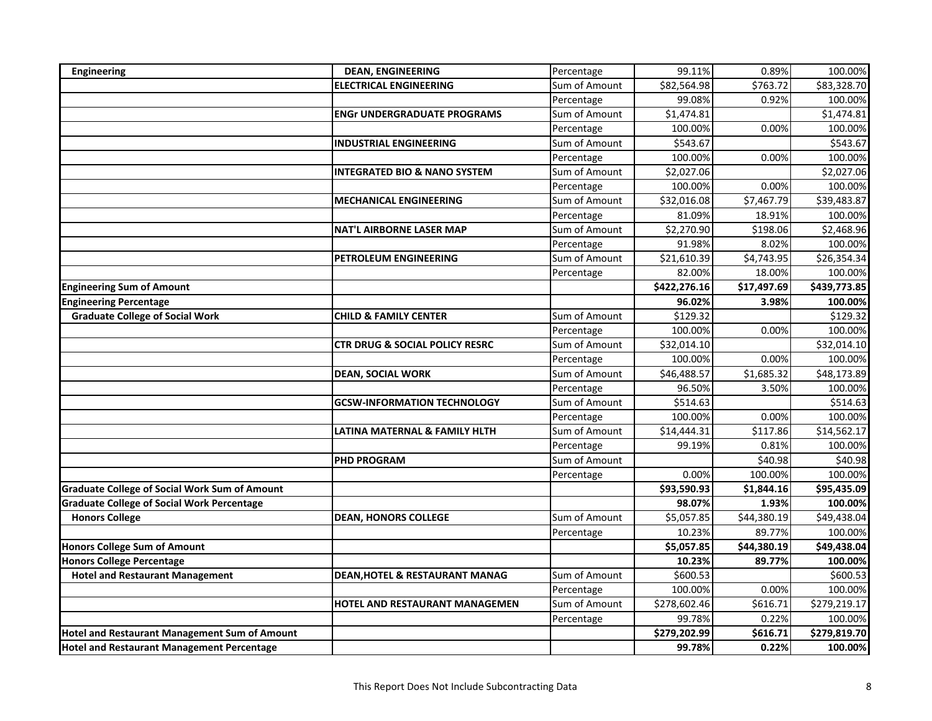| Engineering                                          | <b>DEAN, ENGINEERING</b>                  | Percentage    | 99.11%       | 0.89%       | 100.00%      |
|------------------------------------------------------|-------------------------------------------|---------------|--------------|-------------|--------------|
|                                                      | <b>ELECTRICAL ENGINEERING</b>             | Sum of Amount | \$82,564.98  | \$763.72    | \$83,328.70  |
|                                                      |                                           | Percentage    | 99.08%       | 0.92%       | 100.00%      |
|                                                      | <b>ENGr UNDERGRADUATE PROGRAMS</b>        | Sum of Amount | \$1,474.81   |             | \$1,474.81   |
|                                                      |                                           | Percentage    | 100.00%      | 0.00%       | 100.00%      |
|                                                      | <b>INDUSTRIAL ENGINEERING</b>             | Sum of Amount | \$543.67     |             | \$543.67     |
|                                                      |                                           | Percentage    | 100.00%      | 0.00%       | 100.00%      |
|                                                      | <b>INTEGRATED BIO &amp; NANO SYSTEM</b>   | Sum of Amount | \$2,027.06   |             | \$2,027.06   |
|                                                      |                                           | Percentage    | 100.00%      | 0.00%       | 100.00%      |
|                                                      | <b>MECHANICAL ENGINEERING</b>             | Sum of Amount | \$32,016.08  | \$7,467.79  | \$39,483.87  |
|                                                      |                                           | Percentage    | 81.09%       | 18.91%      | 100.00%      |
|                                                      | <b>NAT'L AIRBORNE LASER MAP</b>           | Sum of Amount | \$2,270.90   | \$198.06    | \$2,468.96   |
|                                                      |                                           | Percentage    | 91.98%       | 8.02%       | 100.00%      |
|                                                      | PETROLEUM ENGINEERING                     | Sum of Amount | \$21,610.39  | \$4,743.95  | \$26,354.34  |
|                                                      |                                           | Percentage    | 82.00%       | 18.00%      | 100.00%      |
| <b>Engineering Sum of Amount</b>                     |                                           |               | \$422,276.16 | \$17,497.69 | \$439,773.85 |
| <b>Engineering Percentage</b>                        |                                           |               | 96.02%       | 3.98%       | 100.00%      |
| <b>Graduate College of Social Work</b>               | <b>CHILD &amp; FAMILY CENTER</b>          | Sum of Amount | \$129.32     |             | \$129.32     |
|                                                      |                                           | Percentage    | 100.00%      | 0.00%       | 100.00%      |
|                                                      | <b>CTR DRUG &amp; SOCIAL POLICY RESRC</b> | Sum of Amount | \$32,014.10  |             | \$32,014.10  |
|                                                      |                                           | Percentage    | 100.00%      | 0.00%       | 100.00%      |
|                                                      | <b>DEAN, SOCIAL WORK</b>                  | Sum of Amount | \$46,488.57  | \$1,685.32  | \$48,173.89  |
|                                                      |                                           | Percentage    | 96.50%       | 3.50%       | 100.00%      |
|                                                      | <b>GCSW-INFORMATION TECHNOLOGY</b>        | Sum of Amount | \$514.63     |             | \$514.63     |
|                                                      |                                           | Percentage    | 100.00%      | 0.00%       | 100.00%      |
|                                                      | LATINA MATERNAL & FAMILY HLTH             | Sum of Amount | \$14,444.31  | \$117.86    | \$14,562.17  |
|                                                      |                                           | Percentage    | 99.19%       | 0.81%       | 100.00%      |
|                                                      | <b>PHD PROGRAM</b>                        | Sum of Amount |              | \$40.98     | \$40.98      |
|                                                      |                                           | Percentage    | 0.00%        | 100.00%     | 100.00%      |
| <b>Graduate College of Social Work Sum of Amount</b> |                                           |               | \$93,590.93  | \$1,844.16  | \$95,435.09  |
| <b>Graduate College of Social Work Percentage</b>    |                                           |               | 98.07%       | 1.93%       | 100.00%      |
| <b>Honors College</b>                                | <b>DEAN, HONORS COLLEGE</b>               | Sum of Amount | \$5,057.85   | \$44,380.19 | \$49,438.04  |
|                                                      |                                           | Percentage    | 10.23%       | 89.77%      | 100.00%      |
| <b>Honors College Sum of Amount</b>                  |                                           |               | \$5,057.85   | \$44,380.19 | \$49,438.04  |
| <b>Honors College Percentage</b>                     |                                           |               | 10.23%       | 89.77%      | 100.00%      |
| <b>Hotel and Restaurant Management</b>               | <b>DEAN, HOTEL &amp; RESTAURANT MANAG</b> | Sum of Amount | \$600.53     |             | \$600.53     |
|                                                      |                                           | Percentage    | 100.00%      | 0.00%       | 100.00%      |
|                                                      | HOTEL AND RESTAURANT MANAGEMEN            | Sum of Amount | \$278,602.46 | \$616.71    | \$279,219.17 |
|                                                      |                                           | Percentage    | 99.78%       | 0.22%       | 100.00%      |
| Hotel and Restaurant Management Sum of Amount        |                                           |               | \$279,202.99 | \$616.71    | \$279,819.70 |
| <b>Hotel and Restaurant Management Percentage</b>    |                                           |               | 99.78%       | 0.22%       | 100.00%      |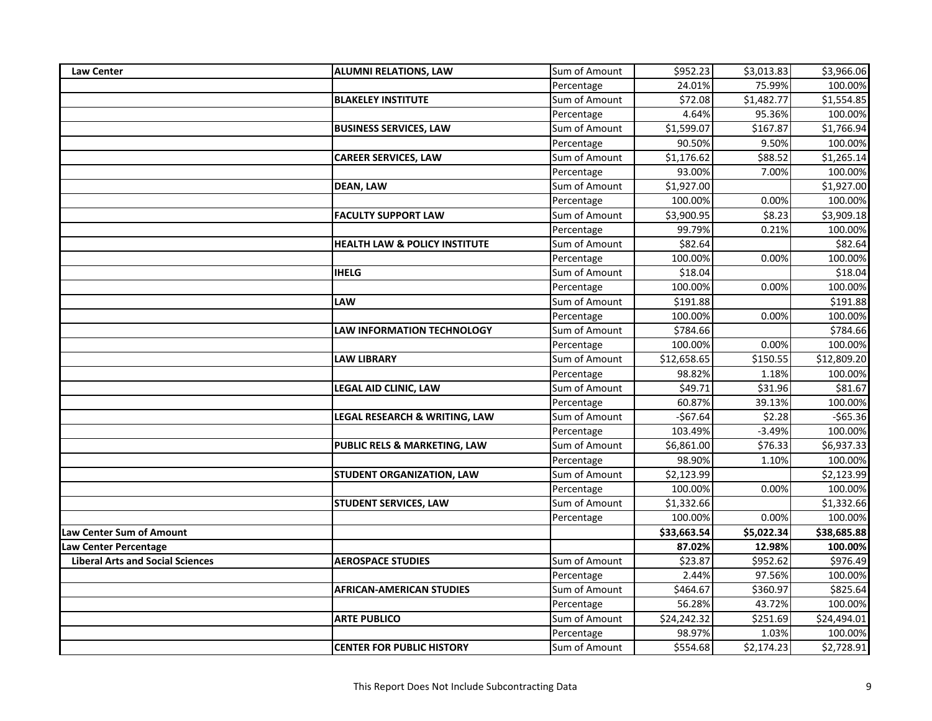| Law Center                              | <b>ALUMNI RELATIONS, LAW</b>             | Sum of Amount | \$952.23    | \$3,013.83 | \$3,966.06  |
|-----------------------------------------|------------------------------------------|---------------|-------------|------------|-------------|
|                                         |                                          | Percentage    | 24.01%      | 75.99%     | 100.00%     |
|                                         | <b>BLAKELEY INSTITUTE</b>                | Sum of Amount | \$72.08     | \$1,482.77 | \$1,554.85  |
|                                         |                                          | Percentage    | 4.64%       | 95.36%     | 100.00%     |
|                                         | <b>BUSINESS SERVICES, LAW</b>            | Sum of Amount | \$1,599.07  | \$167.87   | \$1,766.94  |
|                                         |                                          | Percentage    | 90.50%      | 9.50%      | 100.00%     |
|                                         | <b>CAREER SERVICES, LAW</b>              | Sum of Amount | \$1,176.62  | \$88.52    | \$1,265.14  |
|                                         |                                          | Percentage    | 93.00%      | 7.00%      | 100.00%     |
|                                         | <b>DEAN, LAW</b>                         | Sum of Amount | \$1,927.00  |            | \$1,927.00  |
|                                         |                                          | Percentage    | 100.00%     | 0.00%      | 100.00%     |
|                                         | <b>FACULTY SUPPORT LAW</b>               | Sum of Amount | \$3,900.95  | \$8.23     | \$3,909.18  |
|                                         |                                          | Percentage    | 99.79%      | 0.21%      | 100.00%     |
|                                         | <b>HEALTH LAW &amp; POLICY INSTITUTE</b> | Sum of Amount | \$82.64     |            | \$82.64     |
|                                         |                                          | Percentage    | 100.00%     | 0.00%      | 100.00%     |
|                                         | <b>IHELG</b>                             | Sum of Amount | \$18.04     |            | \$18.04     |
|                                         |                                          | Percentage    | 100.00%     | 0.00%      | 100.00%     |
|                                         | LAW                                      | Sum of Amount | \$191.88    |            | \$191.88    |
|                                         |                                          | Percentage    | 100.00%     | 0.00%      | 100.00%     |
|                                         | <b>LAW INFORMATION TECHNOLOGY</b>        | Sum of Amount | \$784.66    |            | \$784.66    |
|                                         |                                          | Percentage    | 100.00%     | 0.00%      | 100.00%     |
|                                         | <b>LAW LIBRARY</b>                       | Sum of Amount | \$12,658.65 | \$150.55   | \$12,809.20 |
|                                         |                                          | Percentage    | 98.82%      | 1.18%      | 100.00%     |
|                                         | LEGAL AID CLINIC, LAW                    | Sum of Amount | \$49.71     | \$31.96    | \$81.67     |
|                                         |                                          | Percentage    | 60.87%      | 39.13%     | 100.00%     |
|                                         | LEGAL RESEARCH & WRITING, LAW            | Sum of Amount | $-$67.64$   | \$2.28     | $-$65.36$   |
|                                         |                                          | Percentage    | 103.49%     | $-3.49%$   | 100.00%     |
|                                         | PUBLIC RELS & MARKETING, LAW             | Sum of Amount | \$6,861.00  | \$76.33    | \$6,937.33  |
|                                         |                                          | Percentage    | 98.90%      | 1.10%      | 100.00%     |
|                                         | STUDENT ORGANIZATION, LAW                | Sum of Amount | \$2,123.99  |            | \$2,123.99  |
|                                         |                                          | Percentage    | 100.00%     | 0.00%      | 100.00%     |
|                                         | <b>STUDENT SERVICES, LAW</b>             | Sum of Amount | \$1,332.66  |            | \$1,332.66  |
|                                         |                                          | Percentage    | 100.00%     | 0.00%      | 100.00%     |
| <b>Law Center Sum of Amount</b>         |                                          |               | \$33,663.54 | \$5,022.34 | \$38,685.88 |
| <b>Law Center Percentage</b>            |                                          |               | 87.02%      | 12.98%     | 100.00%     |
| <b>Liberal Arts and Social Sciences</b> | <b>AEROSPACE STUDIES</b>                 | Sum of Amount | \$23.87     | \$952.62   | \$976.49    |
|                                         |                                          | Percentage    | 2.44%       | 97.56%     | 100.00%     |
|                                         | <b>AFRICAN-AMERICAN STUDIES</b>          | Sum of Amount | \$464.67    | \$360.97   | \$825.64    |
|                                         |                                          | Percentage    | 56.28%      | 43.72%     | 100.00%     |
|                                         | <b>ARTE PUBLICO</b>                      | Sum of Amount | \$24,242.32 | \$251.69   | \$24,494.01 |
|                                         |                                          | Percentage    | 98.97%      | 1.03%      | 100.00%     |
|                                         | <b>CENTER FOR PUBLIC HISTORY</b>         | Sum of Amount | \$554.68    | \$2,174.23 | \$2,728.91  |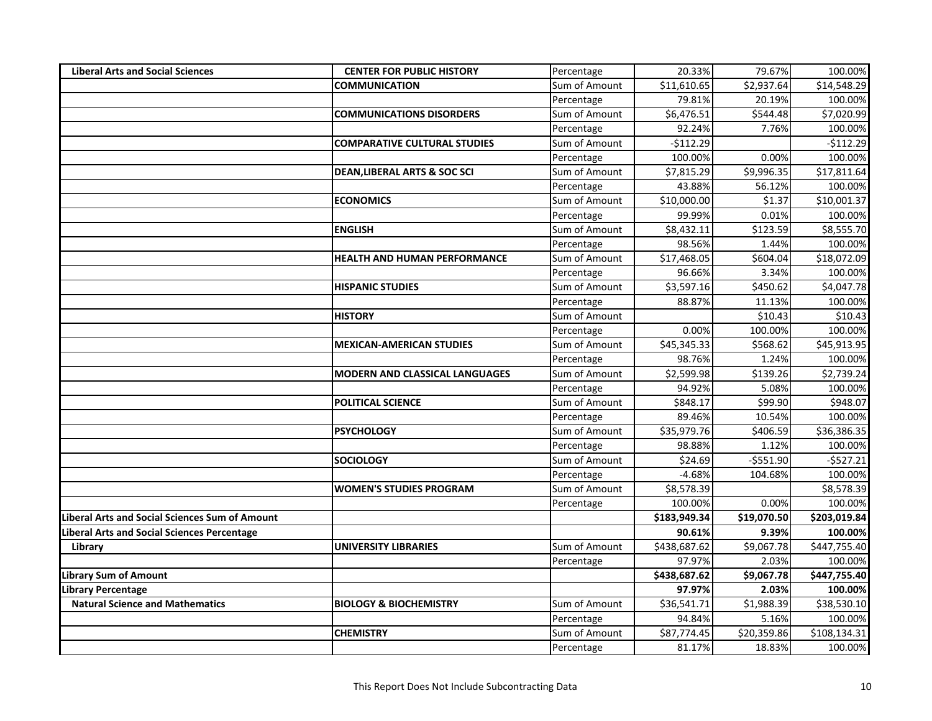| <b>Liberal Arts and Social Sciences</b>        | <b>CENTER FOR PUBLIC HISTORY</b>        | Percentage    | 20.33%       | 79.67%      | 100.00%      |
|------------------------------------------------|-----------------------------------------|---------------|--------------|-------------|--------------|
|                                                | <b>COMMUNICATION</b>                    | Sum of Amount | \$11,610.65  | \$2,937.64  | \$14,548.29  |
|                                                |                                         | Percentage    | 79.81%       | 20.19%      | 100.00%      |
|                                                | <b>COMMUNICATIONS DISORDERS</b>         | Sum of Amount | \$6,476.51   | \$544.48    | \$7,020.99   |
|                                                |                                         | Percentage    | 92.24%       | 7.76%       | 100.00%      |
|                                                | <b>COMPARATIVE CULTURAL STUDIES</b>     | Sum of Amount | $-$112.29$   |             | $-$112.29$   |
|                                                |                                         | Percentage    | 100.00%      | 0.00%       | 100.00%      |
|                                                | <b>DEAN, LIBERAL ARTS &amp; SOC SCI</b> | Sum of Amount | \$7,815.29   | \$9,996.35  | \$17,811.64  |
|                                                |                                         | Percentage    | 43.88%       | 56.12%      | 100.00%      |
|                                                | <b>ECONOMICS</b>                        | Sum of Amount | \$10,000.00  | \$1.37      | \$10,001.37  |
|                                                |                                         | Percentage    | 99.99%       | 0.01%       | 100.00%      |
|                                                | <b>ENGLISH</b>                          | Sum of Amount | \$8,432.11   | \$123.59    | \$8,555.70   |
|                                                |                                         | Percentage    | 98.56%       | 1.44%       | 100.00%      |
|                                                | <b>HEALTH AND HUMAN PERFORMANCE</b>     | Sum of Amount | \$17,468.05  | \$604.04    | \$18,072.09  |
|                                                |                                         | Percentage    | 96.66%       | 3.34%       | 100.00%      |
|                                                | <b>HISPANIC STUDIES</b>                 | Sum of Amount | \$3,597.16   | \$450.62    | \$4,047.78   |
|                                                |                                         | Percentage    | 88.87%       | 11.13%      | 100.00%      |
|                                                | <b>HISTORY</b>                          | Sum of Amount |              | 510.43      | \$10.43      |
|                                                |                                         | Percentage    | 0.00%        | 100.00%     | 100.00%      |
|                                                | <b>MEXICAN-AMERICAN STUDIES</b>         | Sum of Amount | \$45,345.33  | \$568.62    | \$45,913.95  |
|                                                |                                         | Percentage    | 98.76%       | 1.24%       | 100.00%      |
|                                                | <b>MODERN AND CLASSICAL LANGUAGES</b>   | Sum of Amount | \$2,599.98   | \$139.26    | \$2,739.24   |
|                                                |                                         | Percentage    | 94.92%       | 5.08%       | 100.00%      |
|                                                | <b>POLITICAL SCIENCE</b>                | Sum of Amount | \$848.17     | \$99.90     | \$948.07     |
|                                                |                                         | Percentage    | 89.46%       | 10.54%      | 100.00%      |
|                                                | <b>PSYCHOLOGY</b>                       | Sum of Amount | \$35,979.76  | \$406.59    | \$36,386.35  |
|                                                |                                         | Percentage    | 98.88%       | 1.12%       | 100.00%      |
|                                                | <b>SOCIOLOGY</b>                        | Sum of Amount | \$24.69      | $-5551.90$  | $-5527.21$   |
|                                                |                                         | Percentage    | $-4.68%$     | 104.68%     | 100.00%      |
|                                                | <b>WOMEN'S STUDIES PROGRAM</b>          | Sum of Amount | \$8,578.39   |             | \$8,578.39   |
|                                                |                                         | Percentage    | 100.00%      | 0.00%       | 100.00%      |
| Liberal Arts and Social Sciences Sum of Amount |                                         |               | \$183,949.34 | \$19,070.50 | \$203,019.84 |
| iberal Arts and Social Sciences Percentage.    |                                         |               | 90.61%       | 9.39%       | 100.00%      |
| Library                                        | <b>UNIVERSITY LIBRARIES</b>             | Sum of Amount | \$438,687.62 | \$9,067.78  | \$447,755.40 |
|                                                |                                         | Percentage    | 97.97%       | 2.03%       | 100.00%      |
| <b>Library Sum of Amount</b>                   |                                         |               | \$438,687.62 | \$9,067.78  | \$447,755.40 |
| Library Percentage                             |                                         |               | 97.97%       | 2.03%       | 100.00%      |
| <b>Natural Science and Mathematics</b>         | <b>BIOLOGY &amp; BIOCHEMISTRY</b>       | Sum of Amount | \$36,541.71  | \$1,988.39  | \$38,530.10  |
|                                                |                                         | Percentage    | 94.84%       | 5.16%       | 100.00%      |
|                                                | <b>CHEMISTRY</b>                        | Sum of Amount | \$87,774.45  | \$20,359.86 | \$108,134.31 |
|                                                |                                         | Percentage    | 81.17%       | 18.83%      | 100.00%      |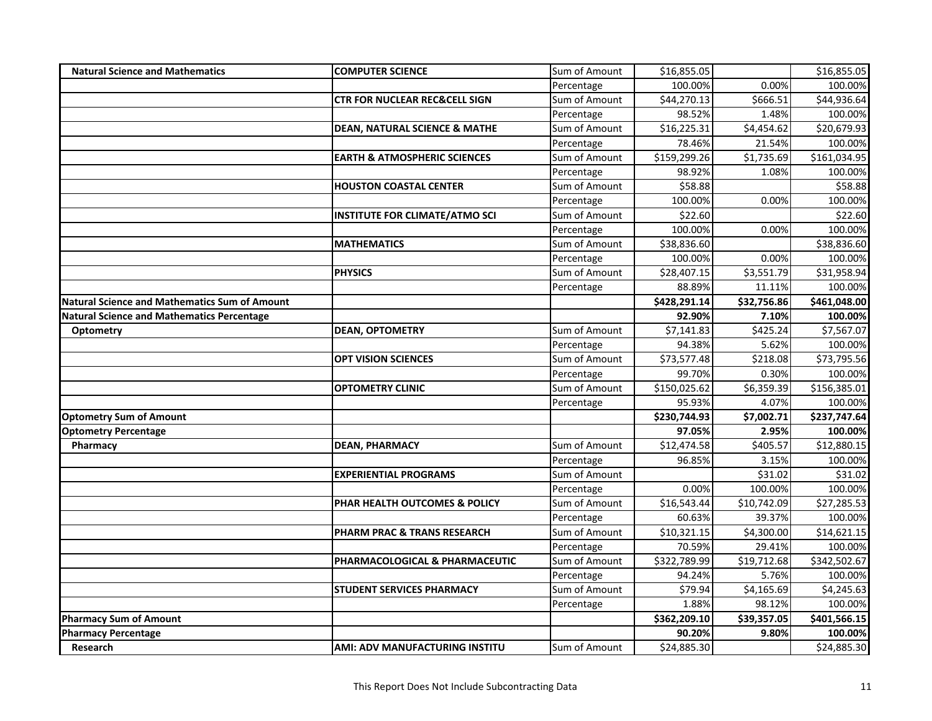| <b>Natural Science and Mathematics</b>               | <b>COMPUTER SCIENCE</b>                  | Sum of Amount | \$16,855.05  |             | \$16,855.05            |
|------------------------------------------------------|------------------------------------------|---------------|--------------|-------------|------------------------|
|                                                      |                                          | Percentage    | 100.00%      | 0.00%       | 100.00%                |
|                                                      | <b>CTR FOR NUCLEAR REC&amp;CELL SIGN</b> | Sum of Amount | \$44,270.13  | \$666.51    | \$44,936.64            |
|                                                      |                                          | Percentage    | 98.52%       | 1.48%       | 100.00%                |
|                                                      | <b>DEAN, NATURAL SCIENCE &amp; MATHE</b> | Sum of Amount | \$16,225.31  | \$4,454.62  | \$20,679.93            |
|                                                      |                                          | Percentage    | 78.46%       | 21.54%      | 100.00%                |
|                                                      | <b>EARTH &amp; ATMOSPHERIC SCIENCES</b>  | Sum of Amount | \$159,299.26 | \$1,735.69  | \$161,034.95           |
|                                                      |                                          | Percentage    | 98.92%       | 1.08%       | 100.00%                |
|                                                      | <b>HOUSTON COASTAL CENTER</b>            | Sum of Amount | \$58.88      |             | \$58.88                |
|                                                      |                                          | Percentage    | 100.00%      | 0.00%       | 100.00%                |
|                                                      | <b>INSTITUTE FOR CLIMATE/ATMO SCI</b>    | Sum of Amount | \$22.60      |             | \$22.60                |
|                                                      |                                          | Percentage    | 100.00%      | 0.00%       | 100.00%                |
|                                                      | <b>MATHEMATICS</b>                       | Sum of Amount | \$38,836.60  |             | \$38,836.60            |
|                                                      |                                          | Percentage    | 100.00%      | 0.00%       | 100.00%                |
|                                                      | <b>PHYSICS</b>                           | Sum of Amount | \$28,407.15  | \$3,551.79  | \$31,958.94            |
|                                                      |                                          | Percentage    | 88.89%       | 11.11%      | 100.00%                |
| <b>Natural Science and Mathematics Sum of Amount</b> |                                          |               | \$428,291.14 | \$32,756.86 | \$461,048.00           |
| <b>Natural Science and Mathematics Percentage</b>    |                                          |               | 92.90%       | 7.10%       | 100.00%                |
| Optometry                                            | <b>DEAN, OPTOMETRY</b>                   | Sum of Amount | \$7,141.83   | \$425.24    | $\overline{$}7,567.07$ |
|                                                      |                                          | Percentage    | 94.38%       | 5.62%       | 100.00%                |
|                                                      | <b>OPT VISION SCIENCES</b>               | Sum of Amount | \$73,577.48  | \$218.08    | \$73,795.56            |
|                                                      |                                          | Percentage    | 99.70%       | 0.30%       | 100.00%                |
|                                                      | <b>OPTOMETRY CLINIC</b>                  | Sum of Amount | \$150,025.62 | \$6,359.39  | \$156,385.01           |
|                                                      |                                          | Percentage    | 95.93%       | 4.07%       | 100.00%                |
| <b>Optometry Sum of Amount</b>                       |                                          |               | \$230,744.93 | \$7,002.71  | \$237,747.64           |
| <b>Optometry Percentage</b>                          |                                          |               | 97.05%       | 2.95%       | 100.00%                |
| Pharmacy                                             | <b>DEAN, PHARMACY</b>                    | Sum of Amount | \$12,474.58  | \$405.57    | \$12,880.15            |
|                                                      |                                          | Percentage    | 96.85%       | 3.15%       | 100.00%                |
|                                                      | <b>EXPERIENTIAL PROGRAMS</b>             | Sum of Amount |              | \$31.02     | \$31.02                |
|                                                      |                                          | Percentage    | 0.00%        | 100.00%     | 100.00%                |
|                                                      | PHAR HEALTH OUTCOMES & POLICY            | Sum of Amount | \$16,543.44  | \$10,742.09 | \$27,285.53            |
|                                                      |                                          | Percentage    | 60.63%       | 39.37%      | 100.00%                |
|                                                      | <b>PHARM PRAC &amp; TRANS RESEARCH</b>   | Sum of Amount | \$10,321.15  | \$4,300.00  | \$14,621.15            |
|                                                      |                                          | Percentage    | 70.59%       | 29.41%      | 100.00%                |
|                                                      | PHARMACOLOGICAL & PHARMACEUTIC           | Sum of Amount | \$322,789.99 | \$19,712.68 | \$342,502.67           |
|                                                      |                                          | Percentage    | 94.24%       | 5.76%       | 100.00%                |
|                                                      | <b>STUDENT SERVICES PHARMACY</b>         | Sum of Amount | \$79.94      | \$4,165.69  | \$4,245.63             |
|                                                      |                                          | Percentage    | 1.88%        | 98.12%      | 100.00%                |
| <b>Pharmacy Sum of Amount</b>                        |                                          |               | \$362,209.10 | \$39,357.05 | \$401,566.15           |
| <b>Pharmacy Percentage</b>                           |                                          |               | 90.20%       | 9.80%       | 100.00%                |
| <b>Research</b>                                      | <b>AMI: ADV MANUFACTURING INSTITU</b>    | Sum of Amount | \$24,885.30  |             | \$24,885.30            |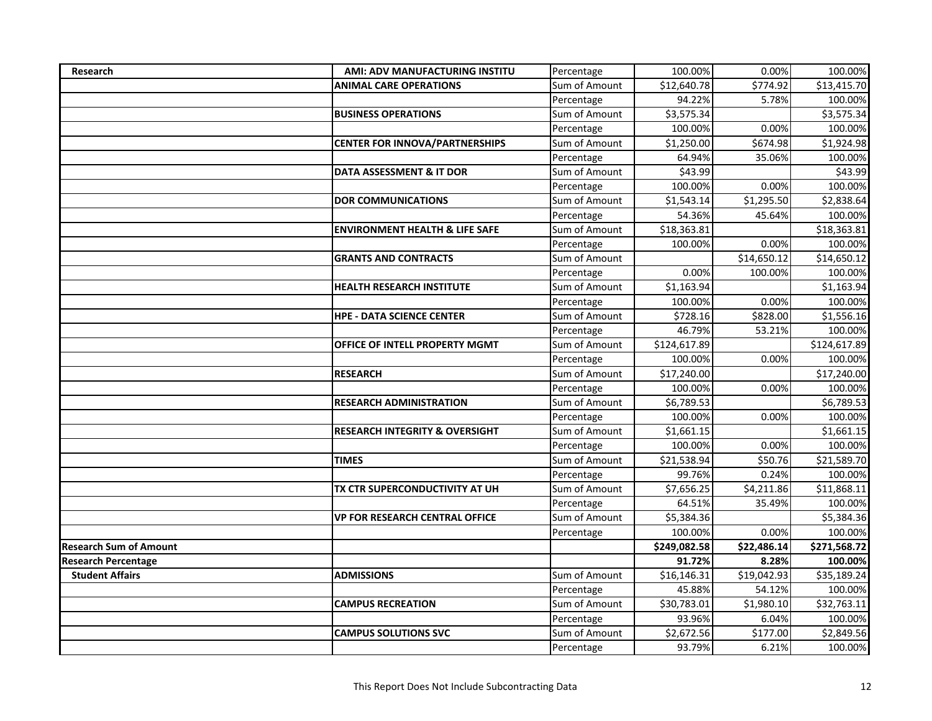| Research                      | AMI: ADV MANUFACTURING INSTITU            | Percentage    | 100.00%      | 0.00%       | 100.00%      |
|-------------------------------|-------------------------------------------|---------------|--------------|-------------|--------------|
|                               | <b>ANIMAL CARE OPERATIONS</b>             | Sum of Amount | \$12,640.78  | \$774.92    | \$13,415.70  |
|                               |                                           | Percentage    | 94.22%       | 5.78%       | 100.00%      |
|                               | <b>BUSINESS OPERATIONS</b>                | Sum of Amount | \$3,575.34   |             | \$3,575.34   |
|                               |                                           | Percentage    | 100.00%      | 0.00%       | 100.00%      |
|                               | <b>CENTER FOR INNOVA/PARTNERSHIPS</b>     | Sum of Amount | \$1,250.00   | \$674.98    | \$1,924.98   |
|                               |                                           | Percentage    | 64.94%       | 35.06%      | 100.00%      |
|                               | DATA ASSESSMENT & IT DOR                  | Sum of Amount | \$43.99      |             | \$43.99      |
|                               |                                           | Percentage    | 100.00%      | 0.00%       | 100.00%      |
|                               | <b>DOR COMMUNICATIONS</b>                 | Sum of Amount | \$1,543.14   | \$1,295.50  | \$2,838.64   |
|                               |                                           | Percentage    | 54.36%       | 45.64%      | 100.00%      |
|                               | <b>ENVIRONMENT HEALTH &amp; LIFE SAFE</b> | Sum of Amount | \$18,363.81  |             | \$18,363.81  |
|                               |                                           | Percentage    | 100.00%      | 0.00%       | 100.00%      |
|                               | <b>GRANTS AND CONTRACTS</b>               | Sum of Amount |              | \$14,650.12 | \$14,650.12  |
|                               |                                           | Percentage    | 0.00%        | 100.00%     | 100.00%      |
|                               | <b>HEALTH RESEARCH INSTITUTE</b>          | Sum of Amount | \$1,163.94   |             | \$1,163.94   |
|                               |                                           | Percentage    | 100.00%      | 0.00%       | 100.00%      |
|                               | <b>HPE - DATA SCIENCE CENTER</b>          | Sum of Amount | \$728.16     | \$828.00    | \$1,556.16   |
|                               |                                           | Percentage    | 46.79%       | 53.21%      | 100.00%      |
|                               | OFFICE OF INTELL PROPERTY MGMT            | Sum of Amount | \$124,617.89 |             | \$124,617.89 |
|                               |                                           | Percentage    | 100.00%      | 0.00%       | 100.00%      |
|                               | <b>RESEARCH</b>                           | Sum of Amount | \$17,240.00  |             | \$17,240.00  |
|                               |                                           | Percentage    | 100.00%      | 0.00%       | 100.00%      |
|                               | <b>RESEARCH ADMINISTRATION</b>            | Sum of Amount | \$6,789.53   |             | \$6,789.53   |
|                               |                                           | Percentage    | 100.00%      | 0.00%       | 100.00%      |
|                               | <b>RESEARCH INTEGRITY &amp; OVERSIGHT</b> | Sum of Amount | \$1,661.15   |             | \$1,661.15   |
|                               |                                           | Percentage    | 100.00%      | 0.00%       | 100.00%      |
|                               | <b>TIMES</b>                              | Sum of Amount | \$21,538.94  | \$50.76     | \$21,589.70  |
|                               |                                           | Percentage    | 99.76%       | 0.24%       | 100.00%      |
|                               | TX CTR SUPERCONDUCTIVITY AT UH            | Sum of Amount | \$7,656.25   | \$4,211.86  | \$11,868.11  |
|                               |                                           | Percentage    | 64.51%       | 35.49%      | 100.00%      |
|                               | <b>VP FOR RESEARCH CENTRAL OFFICE</b>     | Sum of Amount | \$5,384.36   |             | \$5,384.36   |
|                               |                                           | Percentage    | 100.00%      | 0.00%       | 100.00%      |
| <b>Research Sum of Amount</b> |                                           |               | \$249,082.58 | \$22,486.14 | \$271,568.72 |
| <b>Research Percentage</b>    |                                           |               | 91.72%       | 8.28%       | 100.00%      |
| <b>Student Affairs</b>        | <b>ADMISSIONS</b>                         | Sum of Amount | \$16,146.31  | \$19,042.93 | \$35,189.24  |
|                               |                                           | Percentage    | 45.88%       | 54.12%      | 100.00%      |
|                               | <b>CAMPUS RECREATION</b>                  | Sum of Amount | \$30,783.01  | \$1,980.10  | \$32,763.11  |
|                               |                                           | Percentage    | 93.96%       | 6.04%       | 100.00%      |
|                               | <b>CAMPUS SOLUTIONS SVC</b>               | Sum of Amount | \$2,672.56   | \$177.00    | \$2,849.56   |
|                               |                                           | Percentage    | 93.79%       | 6.21%       | 100.00%      |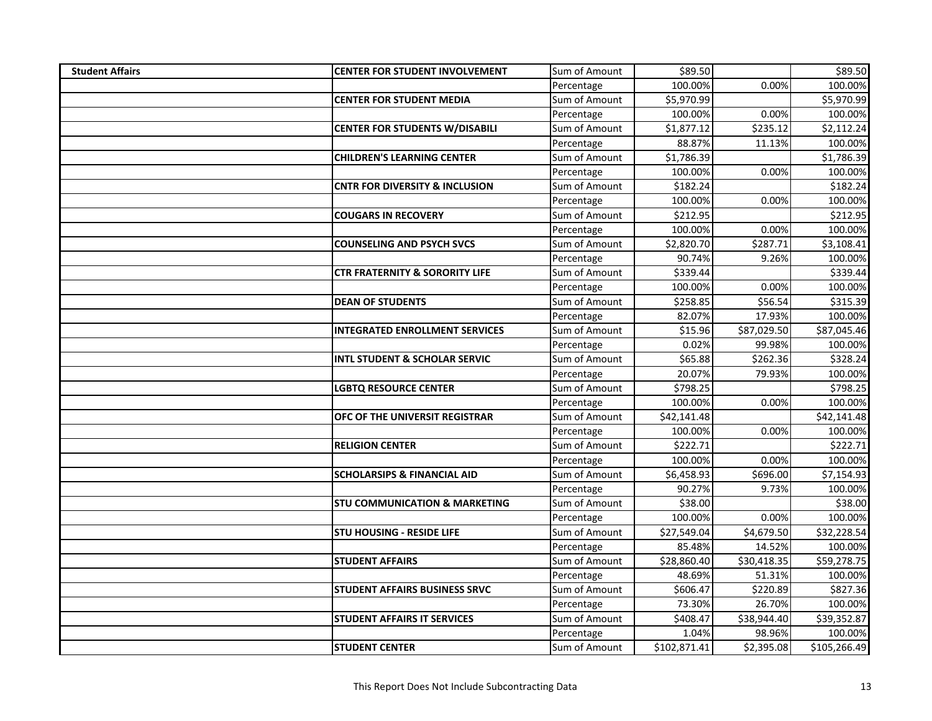| <b>Student Affairs</b> | <b>CENTER FOR STUDENT INVOLVEMENT</b>     | Sum of Amount | \$89.50      |             | \$89.50      |
|------------------------|-------------------------------------------|---------------|--------------|-------------|--------------|
|                        |                                           | Percentage    | 100.00%      | 0.00%       | 100.00%      |
|                        | <b>CENTER FOR STUDENT MEDIA</b>           | Sum of Amount | \$5,970.99   |             | \$5,970.99   |
|                        |                                           | Percentage    | 100.00%      | 0.00%       | 100.00%      |
|                        | <b>CENTER FOR STUDENTS W/DISABILI</b>     | Sum of Amount | \$1,877.12   | \$235.12    | \$2,112.24   |
|                        |                                           | Percentage    | 88.87%       | 11.13%      | 100.00%      |
|                        | <b>CHILDREN'S LEARNING CENTER</b>         | Sum of Amount | \$1,786.39   |             | \$1,786.39   |
|                        |                                           | Percentage    | 100.00%      | 0.00%       | 100.00%      |
|                        | <b>CNTR FOR DIVERSITY &amp; INCLUSION</b> | Sum of Amount | \$182.24     |             | \$182.24     |
|                        |                                           | Percentage    | 100.00%      | 0.00%       | 100.00%      |
|                        | <b>COUGARS IN RECOVERY</b>                | Sum of Amount | \$212.95     |             | \$212.95     |
|                        |                                           | Percentage    | 100.00%      | 0.00%       | 100.00%      |
|                        | <b>COUNSELING AND PSYCH SVCS</b>          | Sum of Amount | \$2,820.70   | \$287.71    | \$3,108.41   |
|                        |                                           | Percentage    | 90.74%       | 9.26%       | 100.00%      |
|                        | <b>CTR FRATERNITY &amp; SORORITY LIFE</b> | Sum of Amount | \$339.44     |             | \$339.44     |
|                        |                                           | Percentage    | 100.00%      | 0.00%       | 100.00%      |
|                        | <b>DEAN OF STUDENTS</b>                   | Sum of Amount | \$258.85     | \$56.54     | \$315.39     |
|                        |                                           | Percentage    | 82.07%       | 17.93%      | 100.00%      |
|                        | <b>INTEGRATED ENROLLMENT SERVICES</b>     | Sum of Amount | \$15.96      | \$87,029.50 | \$87,045.46  |
|                        |                                           | Percentage    | 0.02%        | 99.98%      | 100.00%      |
|                        | <b>INTL STUDENT &amp; SCHOLAR SERVIC</b>  | Sum of Amount | \$65.88      | \$262.36    | \$328.24     |
|                        |                                           | Percentage    | 20.07%       | 79.93%      | 100.00%      |
|                        | <b>LGBTQ RESOURCE CENTER</b>              | Sum of Amount | \$798.25     |             | \$798.25     |
|                        |                                           | Percentage    | 100.00%      | 0.00%       | 100.00%      |
|                        | OFC OF THE UNIVERSIT REGISTRAR            | Sum of Amount | \$42,141.48  |             | \$42,141.48  |
|                        |                                           | Percentage    | 100.00%      | 0.00%       | 100.00%      |
|                        | <b>RELIGION CENTER</b>                    | Sum of Amount | \$222.71     |             | \$222.71     |
|                        |                                           | Percentage    | 100.00%      | 0.00%       | 100.00%      |
|                        | <b>SCHOLARSIPS &amp; FINANCIAL AID</b>    | Sum of Amount | \$6,458.93   | \$696.00    | \$7,154.93   |
|                        |                                           | Percentage    | 90.27%       | 9.73%       | 100.00%      |
|                        | <b>STU COMMUNICATION &amp; MARKETING</b>  | Sum of Amount | \$38.00      |             | \$38.00      |
|                        |                                           | Percentage    | 100.00%      | 0.00%       | 100.00%      |
|                        | <b>STU HOUSING - RESIDE LIFE</b>          | Sum of Amount | \$27,549.04  | \$4,679.50  | \$32,228.54  |
|                        |                                           | Percentage    | 85.48%       | 14.52%      | 100.00%      |
|                        | <b>STUDENT AFFAIRS</b>                    | Sum of Amount | \$28,860.40  | \$30,418.35 | \$59,278.75  |
|                        |                                           | Percentage    | 48.69%       | 51.31%      | 100.00%      |
|                        | <b>STUDENT AFFAIRS BUSINESS SRVC</b>      | Sum of Amount | \$606.47     | \$220.89    | \$827.36     |
|                        |                                           | Percentage    | 73.30%       | 26.70%      | 100.00%      |
|                        | <b>STUDENT AFFAIRS IT SERVICES</b>        | Sum of Amount | \$408.47     | \$38,944.40 | \$39,352.87  |
|                        |                                           | Percentage    | 1.04%        | 98.96%      | 100.00%      |
|                        | <b>STUDENT CENTER</b>                     | Sum of Amount | \$102,871.41 | \$2,395.08  | \$105,266.49 |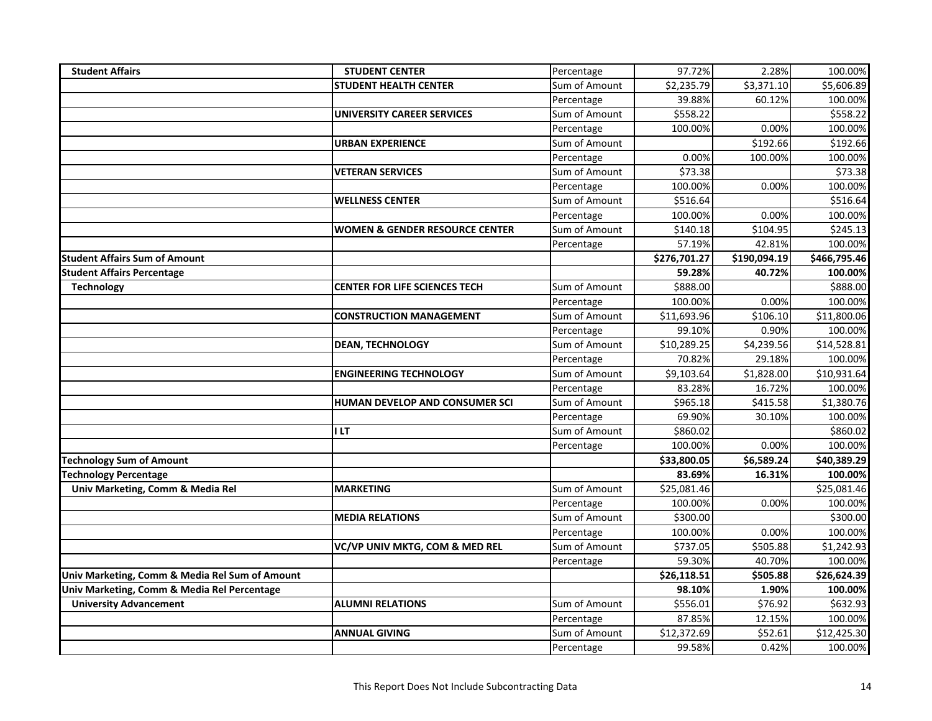| <b>Student Affairs</b>                         | <b>STUDENT CENTER</b>                     | Percentage    | 97.72%       | 2.28%                | 100.00%      |
|------------------------------------------------|-------------------------------------------|---------------|--------------|----------------------|--------------|
|                                                | <b>STUDENT HEALTH CENTER</b>              | Sum of Amount | \$2,235.79   | \$3,371.10           | \$5,606.89   |
|                                                |                                           | Percentage    | 39.88%       | 60.12%               | 100.00%      |
|                                                | <b>UNIVERSITY CAREER SERVICES</b>         | Sum of Amount | \$558.22     |                      | \$558.22     |
|                                                |                                           | Percentage    | 100.00%      | 0.00%                | 100.00%      |
|                                                | <b>URBAN EXPERIENCE</b>                   | Sum of Amount |              | $\overline{$}192.66$ | \$192.66     |
|                                                |                                           | Percentage    | 0.00%        | 100.00%              | 100.00%      |
|                                                | <b>VETERAN SERVICES</b>                   | Sum of Amount | \$73.38      |                      | \$73.38      |
|                                                |                                           | Percentage    | 100.00%      | 0.00%                | 100.00%      |
|                                                | <b>WELLNESS CENTER</b>                    | Sum of Amount | \$516.64     |                      | \$516.64     |
|                                                |                                           | Percentage    | 100.00%      | 0.00%                | 100.00%      |
|                                                | <b>WOMEN &amp; GENDER RESOURCE CENTER</b> | Sum of Amount | \$140.18     | \$104.95             | \$245.13     |
|                                                |                                           | Percentage    | 57.19%       | 42.81%               | 100.00%      |
| <b>Student Affairs Sum of Amount</b>           |                                           |               | \$276,701.27 | \$190,094.19         | \$466,795.46 |
| <b>Student Affairs Percentage</b>              |                                           |               | 59.28%       | 40.72%               | 100.00%      |
| <b>Technology</b>                              | <b>CENTER FOR LIFE SCIENCES TECH</b>      | Sum of Amount | \$888.00     |                      | \$888.00     |
|                                                |                                           | Percentage    | 100.00%      | 0.00%                | 100.00%      |
|                                                | <b>CONSTRUCTION MANAGEMENT</b>            | Sum of Amount | \$11,693.96  | \$106.10             | \$11,800.06  |
|                                                |                                           | Percentage    | 99.10%       | 0.90%                | 100.00%      |
|                                                | <b>DEAN, TECHNOLOGY</b>                   | Sum of Amount | \$10,289.25  | \$4,239.56           | \$14,528.81  |
|                                                |                                           | Percentage    | 70.82%       | 29.18%               | 100.00%      |
|                                                | <b>ENGINEERING TECHNOLOGY</b>             | Sum of Amount | \$9,103.64   | \$1,828.00           | \$10,931.64  |
|                                                |                                           | Percentage    | 83.28%       | 16.72%               | 100.00%      |
|                                                | HUMAN DEVELOP AND CONSUMER SCI            | Sum of Amount | \$965.18     | \$415.58             | \$1,380.76   |
|                                                |                                           | Percentage    | 69.90%       | 30.10%               | 100.00%      |
|                                                | <b>ILT</b>                                | Sum of Amount | \$860.02     |                      | \$860.02     |
|                                                |                                           | Percentage    | 100.00%      | 0.00%                | 100.00%      |
| <b>Technology Sum of Amount</b>                |                                           |               | \$33,800.05  | \$6,589.24           | \$40,389.29  |
| <b>Technology Percentage</b>                   |                                           |               | 83.69%       | 16.31%               | 100.00%      |
| Univ Marketing, Comm & Media Rel               | <b>MARKETING</b>                          | Sum of Amount | \$25,081.46  |                      | \$25,081.46  |
|                                                |                                           | Percentage    | 100.00%      | 0.00%                | 100.00%      |
|                                                | <b>MEDIA RELATIONS</b>                    | Sum of Amount | \$300.00     |                      | \$300.00     |
|                                                |                                           | Percentage    | 100.00%      | 0.00%                | 100.00%      |
|                                                | VC/VP UNIV MKTG, COM & MED REL            | Sum of Amount | \$737.05     | \$505.88             | \$1,242.93   |
|                                                |                                           | Percentage    | 59.30%       | 40.70%               | 100.00%      |
| Univ Marketing, Comm & Media Rel Sum of Amount |                                           |               | \$26,118.51  | \$505.88             | \$26,624.39  |
| Univ Marketing, Comm & Media Rel Percentage    |                                           |               | 98.10%       | 1.90%                | 100.00%      |
| <b>University Advancement</b>                  | <b>ALUMNI RELATIONS</b>                   | Sum of Amount | \$556.01     | \$76.92              | \$632.93     |
|                                                |                                           | Percentage    | 87.85%       | 12.15%               | 100.00%      |
|                                                | <b>ANNUAL GIVING</b>                      | Sum of Amount | \$12,372.69  | \$52.61              | \$12,425.30  |
|                                                |                                           | Percentage    | 99.58%       | 0.42%                | 100.00%      |